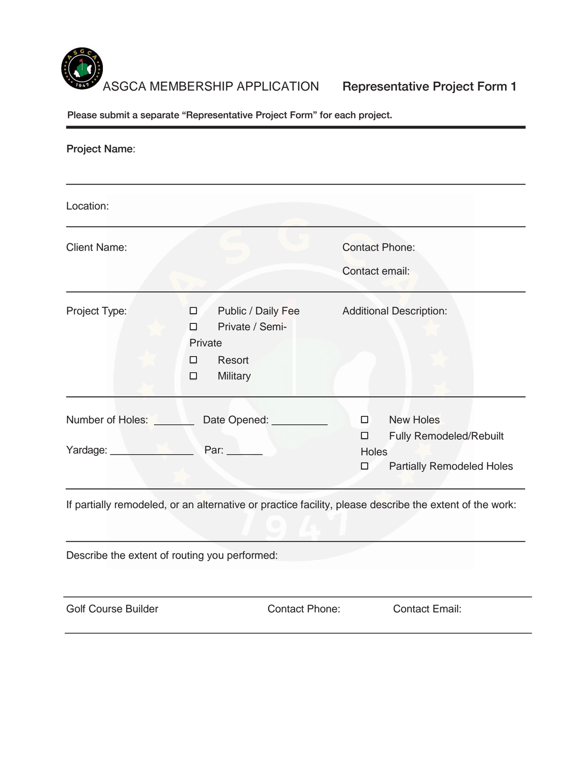

| <b>Project Name:</b>                          |                                                                        |                                                                                                         |
|-----------------------------------------------|------------------------------------------------------------------------|---------------------------------------------------------------------------------------------------------|
| Location:                                     |                                                                        |                                                                                                         |
| <b>Client Name:</b>                           |                                                                        | <b>Contact Phone:</b><br>Contact email:                                                                 |
| Project Type:                                 | Public / Daily Fee<br>Private / Semi-<br>Private<br>Resort<br>Military | <b>Additional Description:</b>                                                                          |
| Number of Holes: Number<br>Yardage: Variation | Date Opened: _________<br>Par: ______                                  | <b>New Holes</b><br>Fully Remodeled/Rebuilt<br>Holes<br><b>Partially Remodeled Holes</b>                |
|                                               |                                                                        | If partially remodeled, or an alternative or practice facility, please describe the extent of the work: |
| Describe the extent of routing you performed: |                                                                        |                                                                                                         |
| <b>Golf Course Builder</b>                    | <b>Contact Phone:</b>                                                  | <b>Contact Email:</b>                                                                                   |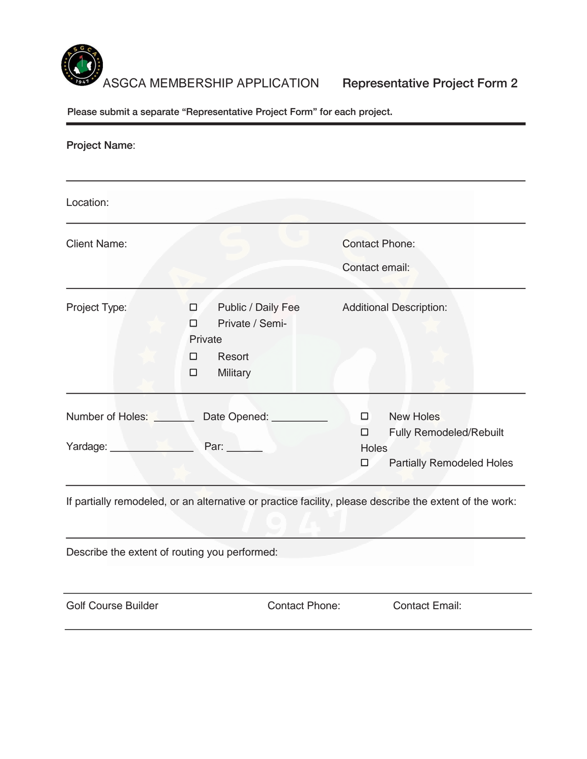

| <b>Project Name:</b>                               |                                                                        |                                                                                                         |
|----------------------------------------------------|------------------------------------------------------------------------|---------------------------------------------------------------------------------------------------------|
| Location:                                          |                                                                        |                                                                                                         |
| <b>Client Name:</b>                                |                                                                        | <b>Contact Phone:</b><br>Contact email:                                                                 |
| Project Type:                                      | Public / Daily Fee<br>Private / Semi-<br>Private<br>Resort<br>Military | <b>Additional Description:</b>                                                                          |
| Yardage: New York Charles Contract Charles Charles | Number of Holes: Date Opened: ________<br>Par: $\_\_\_\_\_\_\_\$       | <b>New Holes</b><br><b>Fully Remodeled/Rebuilt</b><br><b>Holes</b><br><b>Partially Remodeled Holes</b>  |
|                                                    |                                                                        | If partially remodeled, or an alternative or practice facility, please describe the extent of the work: |
|                                                    | Describe the extent of routing you performed:                          |                                                                                                         |
| <b>Golf Course Builder</b>                         | <b>Contact Phone:</b>                                                  | <b>Contact Email:</b>                                                                                   |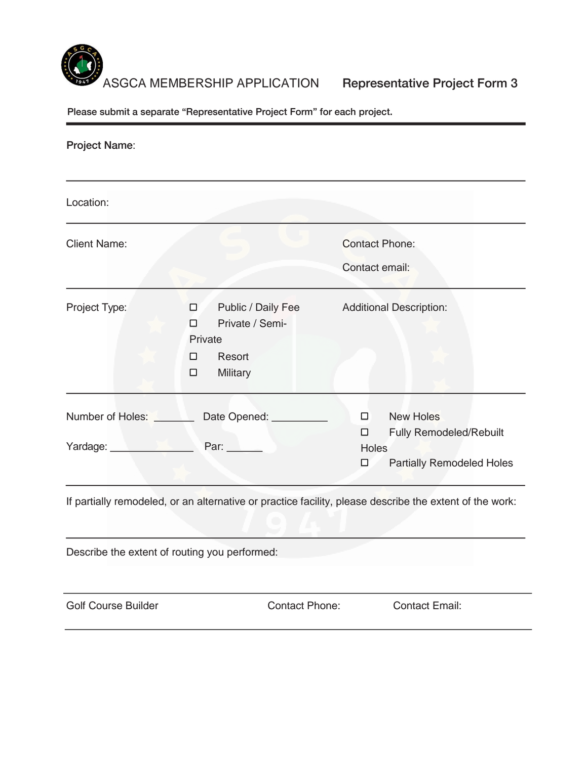

| <b>Project Name:</b>                                                                                                                                                                                                          |                                                                        |                                                                                                         |
|-------------------------------------------------------------------------------------------------------------------------------------------------------------------------------------------------------------------------------|------------------------------------------------------------------------|---------------------------------------------------------------------------------------------------------|
| Location:                                                                                                                                                                                                                     |                                                                        |                                                                                                         |
| <b>Client Name:</b>                                                                                                                                                                                                           |                                                                        | <b>Contact Phone:</b><br>Contact email:                                                                 |
| Project Type:                                                                                                                                                                                                                 | Public / Daily Fee<br>Private / Semi-<br>Private<br>Resort<br>Military | <b>Additional Description:</b>                                                                          |
| Yardage: Van Property Control of The Property of The Property of The Property of The Property of The Property of The Property of The Property of The Property of The Property of The Property of The Property of The Property | Number of Holes: Date Opened: ________<br>Par: $\_\_\_\_\_\_\_\_\$     | <b>New Holes</b><br><b>Fully Remodeled/Rebuilt</b><br>Holes<br><b>Partially Remodeled Holes</b>         |
|                                                                                                                                                                                                                               |                                                                        | If partially remodeled, or an alternative or practice facility, please describe the extent of the work: |
| Describe the extent of routing you performed:                                                                                                                                                                                 |                                                                        |                                                                                                         |
| <b>Golf Course Builder</b>                                                                                                                                                                                                    | <b>Contact Phone:</b>                                                  | <b>Contact Email:</b>                                                                                   |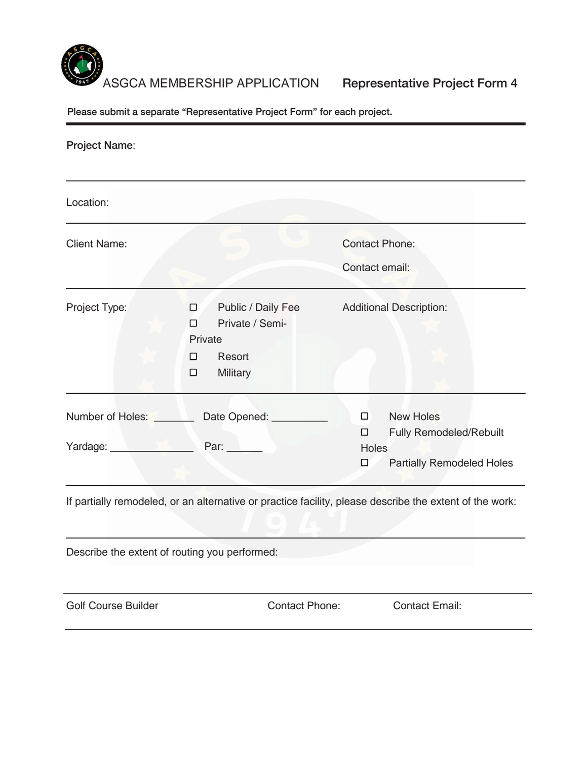

| <b>Project Name:</b>                               |                                                                        |                                                                                                         |
|----------------------------------------------------|------------------------------------------------------------------------|---------------------------------------------------------------------------------------------------------|
| Location:                                          |                                                                        |                                                                                                         |
| <b>Client Name:</b>                                |                                                                        | <b>Contact Phone:</b><br>Contact email:                                                                 |
| Project Type:                                      | Public / Daily Fee<br>Private / Semi-<br>Private<br>Resort<br>Military | <b>Additional Description:</b>                                                                          |
| Yardage: New York Charles Contract Charles Charles | Number of Holes: Date Opened: ________<br>Par: $\_\_\_\_\_\_\_\$       | <b>New Holes</b><br><b>Fully Remodeled/Rebuilt</b><br><b>Holes</b><br><b>Partially Remodeled Holes</b>  |
|                                                    |                                                                        | If partially remodeled, or an alternative or practice facility, please describe the extent of the work: |
|                                                    | Describe the extent of routing you performed:                          |                                                                                                         |
| <b>Golf Course Builder</b>                         | <b>Contact Phone:</b>                                                  | <b>Contact Email:</b>                                                                                   |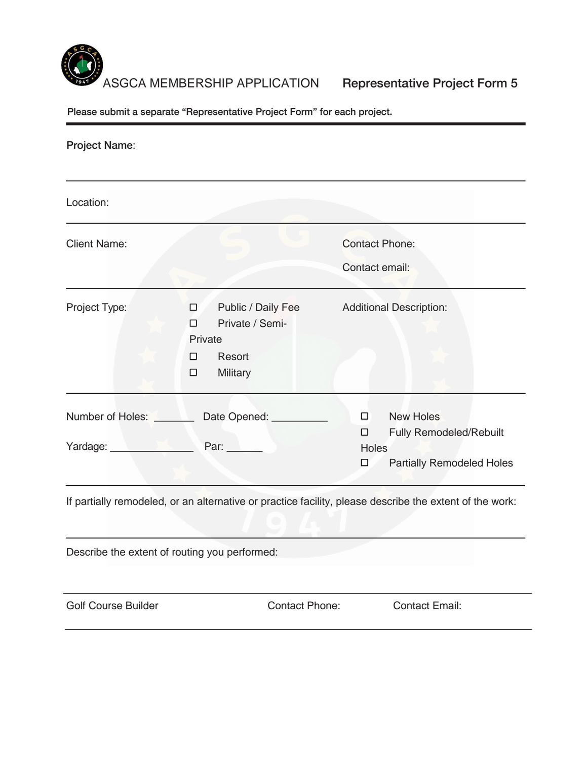

| <b>Project Name:</b>                                                                                                                     |                                                                        |                                                                                                         |
|------------------------------------------------------------------------------------------------------------------------------------------|------------------------------------------------------------------------|---------------------------------------------------------------------------------------------------------|
| Location:                                                                                                                                |                                                                        |                                                                                                         |
| <b>Client Name:</b>                                                                                                                      |                                                                        | <b>Contact Phone:</b><br>Contact email:                                                                 |
| Project Type:                                                                                                                            | Public / Daily Fee<br>Private / Semi-<br>Private<br>Resort<br>Military | <b>Additional Description:</b>                                                                          |
| Number of Holes: Number<br>Yardage: Van Andrew Van Andrew Van Andrew Van Andrew Van Andrew Van Andrew Van Andrew Van Andrew Van Andrew V | Date Opened: _______<br>Par: $\qquad \qquad$                           | <b>New Holes</b><br><b>Fully Remodeled/Rebuilt</b><br><b>Holes</b><br><b>Partially Remodeled Holes</b>  |
|                                                                                                                                          |                                                                        | If partially remodeled, or an alternative or practice facility, please describe the extent of the work: |
|                                                                                                                                          | Describe the extent of routing you performed:                          |                                                                                                         |
| <b>Golf Course Builder</b>                                                                                                               | <b>Contact Phone:</b>                                                  | <b>Contact Email:</b>                                                                                   |